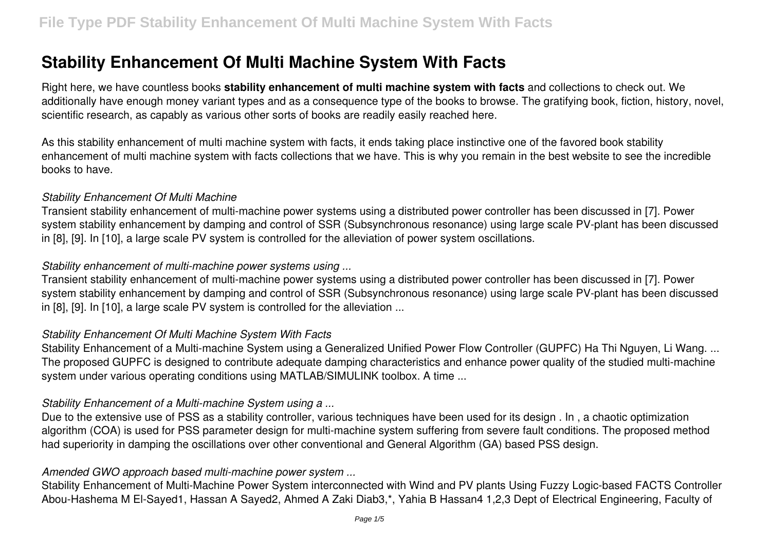# **Stability Enhancement Of Multi Machine System With Facts**

Right here, we have countless books **stability enhancement of multi machine system with facts** and collections to check out. We additionally have enough money variant types and as a consequence type of the books to browse. The gratifying book, fiction, history, novel, scientific research, as capably as various other sorts of books are readily easily reached here.

As this stability enhancement of multi machine system with facts, it ends taking place instinctive one of the favored book stability enhancement of multi machine system with facts collections that we have. This is why you remain in the best website to see the incredible books to have.

#### *Stability Enhancement Of Multi Machine*

Transient stability enhancement of multi-machine power systems using a distributed power controller has been discussed in [7]. Power system stability enhancement by damping and control of SSR (Subsynchronous resonance) using large scale PV-plant has been discussed in [8], [9]. In [10], a large scale PV system is controlled for the alleviation of power system oscillations.

#### *Stability enhancement of multi-machine power systems using ...*

Transient stability enhancement of multi-machine power systems using a distributed power controller has been discussed in [7]. Power system stability enhancement by damping and control of SSR (Subsynchronous resonance) using large scale PV-plant has been discussed in [8], [9]. In [10], a large scale PV system is controlled for the alleviation ...

#### *Stability Enhancement Of Multi Machine System With Facts*

Stability Enhancement of a Multi-machine System using a Generalized Unified Power Flow Controller (GUPFC) Ha Thi Nguyen, Li Wang. ... The proposed GUPFC is designed to contribute adequate damping characteristics and enhance power quality of the studied multi-machine system under various operating conditions using MATLAB/SIMULINK toolbox. A time ...

#### *Stability Enhancement of a Multi-machine System using a ...*

Due to the extensive use of PSS as a stability controller, various techniques have been used for its design, In, a chaotic optimization algorithm (COA) is used for PSS parameter design for multi-machine system suffering from severe fault conditions. The proposed method had superiority in damping the oscillations over other conventional and General Algorithm (GA) based PSS design.

#### *Amended GWO approach based multi-machine power system ...*

Stability Enhancement of Multi-Machine Power System interconnected with Wind and PV plants Using Fuzzy Logic-based FACTS Controller Abou-Hashema M El-Sayed1, Hassan A Sayed2, Ahmed A Zaki Diab3,\*, Yahia B Hassan4 1,2,3 Dept of Electrical Engineering, Faculty of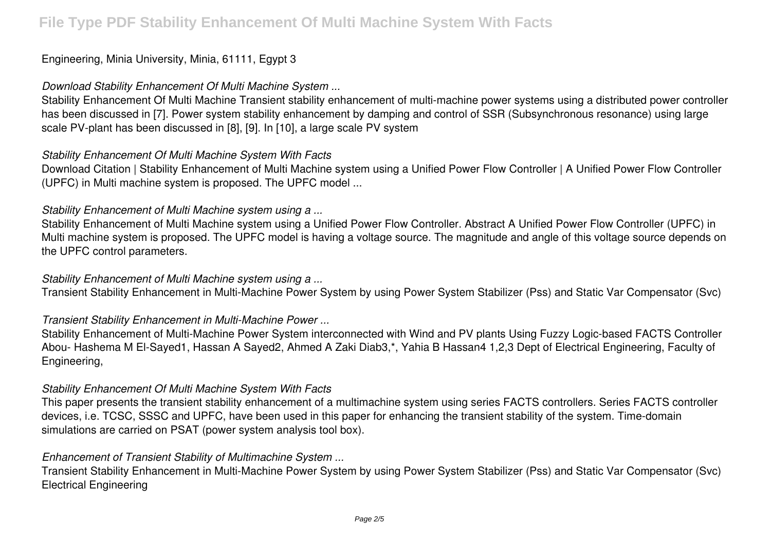# Engineering, Minia University, Minia, 61111, Egypt 3

#### *Download Stability Enhancement Of Multi Machine System ...*

Stability Enhancement Of Multi Machine Transient stability enhancement of multi-machine power systems using a distributed power controller has been discussed in [7]. Power system stability enhancement by damping and control of SSR (Subsynchronous resonance) using large scale PV-plant has been discussed in [8], [9]. In [10], a large scale PV system

#### *Stability Enhancement Of Multi Machine System With Facts*

Download Citation | Stability Enhancement of Multi Machine system using a Unified Power Flow Controller | A Unified Power Flow Controller (UPFC) in Multi machine system is proposed. The UPFC model ...

#### *Stability Enhancement of Multi Machine system using a ...*

Stability Enhancement of Multi Machine system using a Unified Power Flow Controller. Abstract A Unified Power Flow Controller (UPFC) in Multi machine system is proposed. The UPFC model is having a voltage source. The magnitude and angle of this voltage source depends on the UPFC control parameters.

#### *Stability Enhancement of Multi Machine system using a ...*

Transient Stability Enhancement in Multi-Machine Power System by using Power System Stabilizer (Pss) and Static Var Compensator (Svc)

#### *Transient Stability Enhancement in Multi-Machine Power ...*

Stability Enhancement of Multi-Machine Power System interconnected with Wind and PV plants Using Fuzzy Logic-based FACTS Controller Abou- Hashema M El-Sayed1, Hassan A Sayed2, Ahmed A Zaki Diab3,\*, Yahia B Hassan4 1,2,3 Dept of Electrical Engineering, Faculty of Engineering,

#### *Stability Enhancement Of Multi Machine System With Facts*

This paper presents the transient stability enhancement of a multimachine system using series FACTS controllers. Series FACTS controller devices, i.e. TCSC, SSSC and UPFC, have been used in this paper for enhancing the transient stability of the system. Time-domain simulations are carried on PSAT (power system analysis tool box).

#### *Enhancement of Transient Stability of Multimachine System ...*

Transient Stability Enhancement in Multi-Machine Power System by using Power System Stabilizer (Pss) and Static Var Compensator (Svc) Electrical Engineering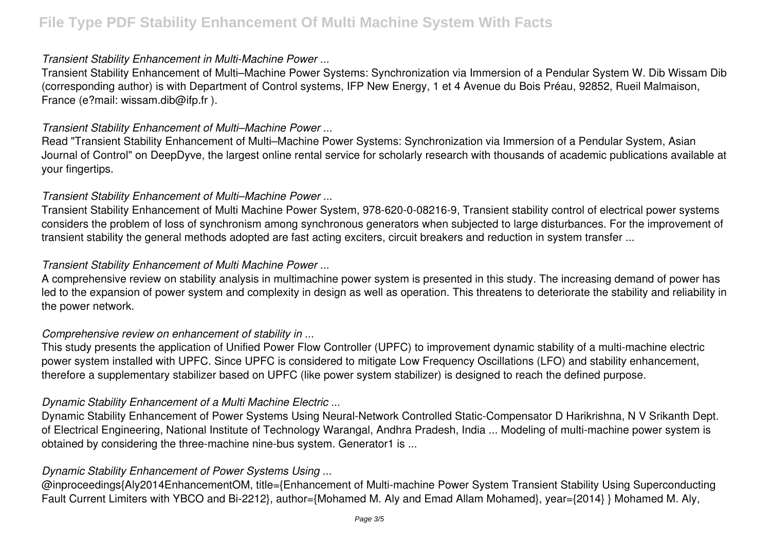#### *Transient Stability Enhancement in Multi-Machine Power ...*

Transient Stability Enhancement of Multi–Machine Power Systems: Synchronization via Immersion of a Pendular System W. Dib Wissam Dib (corresponding author) is with Department of Control systems, IFP New Energy, 1 et 4 Avenue du Bois Préau, 92852, Rueil Malmaison, France (e?mail: wissam.dib@ifp.fr ).

#### *Transient Stability Enhancement of Multi–Machine Power ...*

Read "Transient Stability Enhancement of Multi–Machine Power Systems: Synchronization via Immersion of a Pendular System, Asian Journal of Control" on DeepDyve, the largest online rental service for scholarly research with thousands of academic publications available at your fingertips.

#### *Transient Stability Enhancement of Multi–Machine Power ...*

Transient Stability Enhancement of Multi Machine Power System, 978-620-0-08216-9, Transient stability control of electrical power systems considers the problem of loss of synchronism among synchronous generators when subjected to large disturbances. For the improvement of transient stability the general methods adopted are fast acting exciters, circuit breakers and reduction in system transfer ...

#### *Transient Stability Enhancement of Multi Machine Power ...*

A comprehensive review on stability analysis in multimachine power system is presented in this study. The increasing demand of power has led to the expansion of power system and complexity in design as well as operation. This threatens to deteriorate the stability and reliability in the power network.

## *Comprehensive review on enhancement of stability in ...*

This study presents the application of Unified Power Flow Controller (UPFC) to improvement dynamic stability of a multi-machine electric power system installed with UPFC. Since UPFC is considered to mitigate Low Frequency Oscillations (LFO) and stability enhancement, therefore a supplementary stabilizer based on UPFC (like power system stabilizer) is designed to reach the defined purpose.

## *Dynamic Stability Enhancement of a Multi Machine Electric ...*

Dynamic Stability Enhancement of Power Systems Using Neural-Network Controlled Static-Compensator D Harikrishna, N V Srikanth Dept. of Electrical Engineering, National Institute of Technology Warangal, Andhra Pradesh, India ... Modeling of multi-machine power system is obtained by considering the three-machine nine-bus system. Generator1 is ...

# *Dynamic Stability Enhancement of Power Systems Using ...*

@inproceedings{Aly2014EnhancementOM, title={Enhancement of Multi-machine Power System Transient Stability Using Superconducting Fault Current Limiters with YBCO and Bi-2212}, author={Mohamed M. Aly and Emad Allam Mohamed}, year={2014} } Mohamed M. Aly,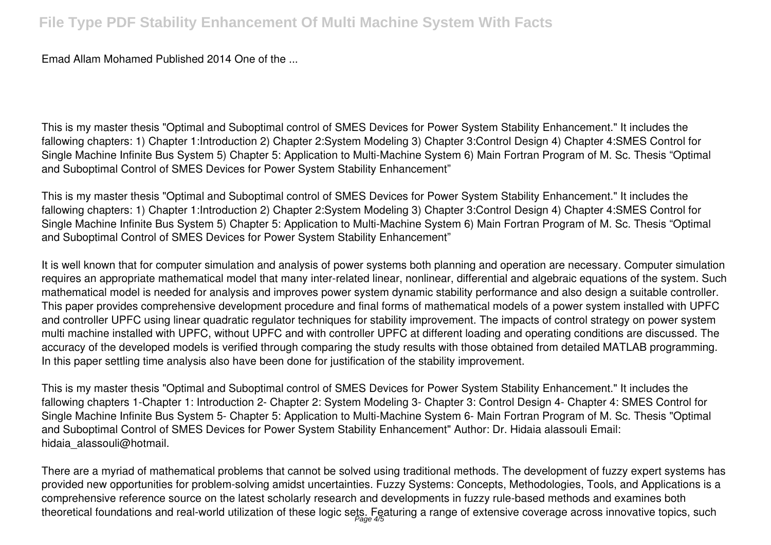Emad Allam Mohamed Published 2014 One of the ...

This is my master thesis "Optimal and Suboptimal control of SMES Devices for Power System Stability Enhancement." It includes the fallowing chapters: 1) Chapter 1:Introduction 2) Chapter 2:System Modeling 3) Chapter 3:Control Design 4) Chapter 4:SMES Control for Single Machine Infinite Bus System 5) Chapter 5: Application to Multi-Machine System 6) Main Fortran Program of M. Sc. Thesis "Optimal and Suboptimal Control of SMES Devices for Power System Stability Enhancement"

This is my master thesis "Optimal and Suboptimal control of SMES Devices for Power System Stability Enhancement." It includes the fallowing chapters: 1) Chapter 1:Introduction 2) Chapter 2:System Modeling 3) Chapter 3:Control Design 4) Chapter 4:SMES Control for Single Machine Infinite Bus System 5) Chapter 5: Application to Multi-Machine System 6) Main Fortran Program of M. Sc. Thesis "Optimal and Suboptimal Control of SMES Devices for Power System Stability Enhancement"

It is well known that for computer simulation and analysis of power systems both planning and operation are necessary. Computer simulation requires an appropriate mathematical model that many inter-related linear, nonlinear, differential and algebraic equations of the system. Such mathematical model is needed for analysis and improves power system dynamic stability performance and also design a suitable controller. This paper provides comprehensive development procedure and final forms of mathematical models of a power system installed with UPFC and controller UPFC using linear quadratic regulator techniques for stability improvement. The impacts of control strategy on power system multi machine installed with UPFC, without UPFC and with controller UPFC at different loading and operating conditions are discussed. The accuracy of the developed models is verified through comparing the study results with those obtained from detailed MATLAB programming. In this paper settling time analysis also have been done for justification of the stability improvement.

This is my master thesis "Optimal and Suboptimal control of SMES Devices for Power System Stability Enhancement." It includes the fallowing chapters 1-Chapter 1: Introduction 2- Chapter 2: System Modeling 3- Chapter 3: Control Design 4- Chapter 4: SMES Control for Single Machine Infinite Bus System 5- Chapter 5: Application to Multi-Machine System 6- Main Fortran Program of M. Sc. Thesis "Optimal and Suboptimal Control of SMES Devices for Power System Stability Enhancement" Author: Dr. Hidaia alassouli Email: hidaia alassouli@hotmail.

There are a myriad of mathematical problems that cannot be solved using traditional methods. The development of fuzzy expert systems has provided new opportunities for problem-solving amidst uncertainties. Fuzzy Systems: Concepts, Methodologies, Tools, and Applications is a comprehensive reference source on the latest scholarly research and developments in fuzzy rule-based methods and examines both theoretical foundations and real-world utilization of these logic sets. Featuring a range of extensive coverage across innovative topics, such